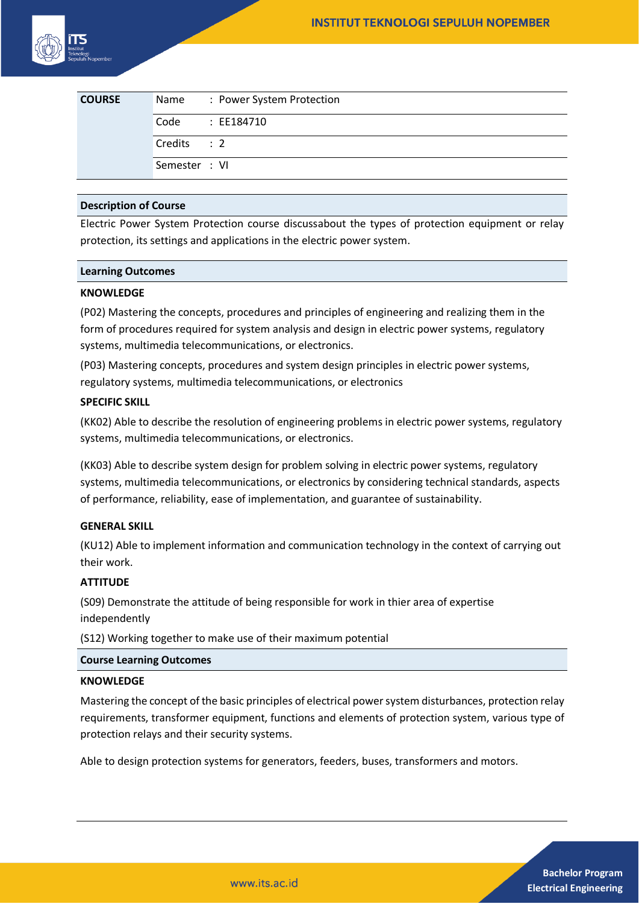

| <b>COURSE</b> | Name          | : Power System Protection |
|---------------|---------------|---------------------------|
|               | Code          | : EE184710                |
|               | Credits : 2   |                           |
|               | Semester : VI |                           |

#### **Description of Course**

Electric Power System Protection course discussabout the types of protection equipment or relay protection, its settings and applications in the electric power system.

#### **Learning Outcomes**

## **KNOWLEDGE**

(P02) Mastering the concepts, procedures and principles of engineering and realizing them in the form of procedures required for system analysis and design in electric power systems, regulatory systems, multimedia telecommunications, or electronics.

(P03) Mastering concepts, procedures and system design principles in electric power systems, regulatory systems, multimedia telecommunications, or electronics

## **SPECIFIC SKILL**

(KK02) Able to describe the resolution of engineering problems in electric power systems, regulatory systems, multimedia telecommunications, or electronics.

(KK03) Able to describe system design for problem solving in electric power systems, regulatory systems, multimedia telecommunications, or electronics by considering technical standards, aspects of performance, reliability, ease of implementation, and guarantee of sustainability.

#### **GENERAL SKILL**

(KU12) Able to implement information and communication technology in the context of carrying out their work.

# **ATTITUDE**

(S09) Demonstrate the attitude of being responsible for work in thier area of expertise independently

(S12) Working together to make use of their maximum potential

#### **Course Learning Outcomes**

#### **KNOWLEDGE**

Mastering the concept of the basic principles of electrical power system disturbances, protection relay requirements, transformer equipment, functions and elements of protection system, various type of protection relays and their security systems.

Able to design protection systems for generators, feeders, buses, transformers and motors.